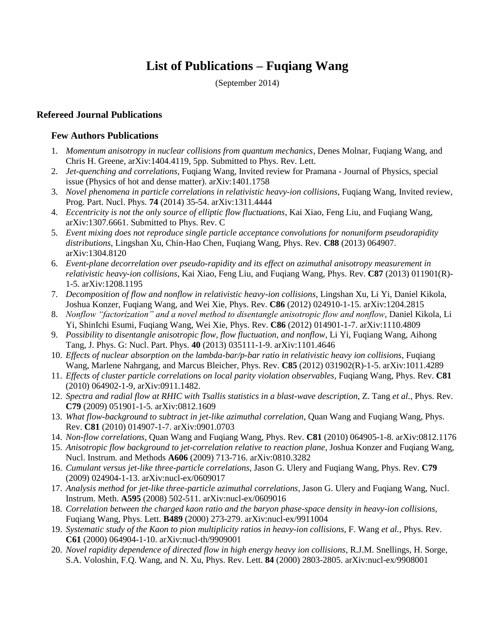# **List of Publications – Fuqiang Wang**

(September 2014)

#### **Refereed Journal Publications**

## **Few Authors Publications**

- 1. *Momentum anisotropy in nuclear collisions from quantum mechanics*, Denes Molnar, Fuqiang Wang, and Chris H. Greene, arXiv:1404.4119, 5pp. Submitted to Phys. Rev. Lett.
- 2. *Jet-quenching and correlations*, Fuqiang Wang, Invited review for Pramana Journal of Physics, special issue (Physics of hot and dense matter). arXiv:1401.1758
- 3. *Novel phenomena in particle correlations in relativistic heavy-ion collisions*, Fuqiang Wang, Invited review, Prog. Part. Nucl. Phys. **74** (2014) 35-54. arXiv:1311.4444
- 4. *Eccentricity is not the only source of elliptic flow fluctuations*, Kai Xiao, Feng Liu, and Fuqiang Wang, arXiv:1307.6661. Submitted to Phys. Rev. C
- 5. *Event mixing does not reproduce single particle acceptance convolutions for nonuniform pseudorapidity distributions*, Lingshan Xu, Chin-Hao Chen, Fuqiang Wang, Phys. Rev. **C88** (2013) 064907. arXiv:1304.8120
- 6. *Event-plane decorrelation over pseudo-rapidity and its effect on azimuthal anisotropy measurement in relativistic heavy-ion collisions*, Kai Xiao, Feng Liu, and Fuqiang Wang, Phys. Rev. **C87** (2013) 011901(R)- 1-5. arXiv:1208.1195
- 7. *Decomposition of flow and nonflow in relativistic heavy-ion collisions*, Lingshan Xu, Li Yi, Daniel Kikola, Joshua Konzer, Fuqiang Wang, and Wei Xie, Phys. Rev. **C86** (2012) 024910-1-15. arXiv:1204.2815
- 8. *Nonflow "factorization" and a novel method to disentangle anisotropic flow and nonflow*, Daniel Kikola, Li Yi, ShinIchi Esumi, Fuqiang Wang, Wei Xie, Phys. Rev. **C86** (2012) 014901-1-7. arXiv:1110.4809
- 9. *Possibility to disentangle anisotropic flow, flow fluctuation, and nonflow*, Li Yi, Fuqiang Wang, Aihong Tang, J. Phys. G: Nucl. Part. Phys. **40** (2013) 035111-1-9. arXiv:1101.4646
- 10. *Effects of nuclear absorption on the lambda-bar/p-bar ratio in relativistic heavy ion collisions*, Fuqiang Wang, Marlene Nahrgang, and Marcus Bleicher, Phys. Rev. **C85** (2012) 031902(R)-1-5. arXiv:1011.4289
- 11. *Effects of cluster particle correlations on local parity violation observables*, Fuqiang Wang, Phys. Rev. **C81** (2010) 064902-1-9, arXiv:0911.1482.
- 12. *Spectra and radial flow at RHIC with Tsallis statistics in a blast-wave description*, Z. Tang *et al.*, Phys. Rev. **C79** (2009) 051901-1-5. arXiv:0812.1609
- 13. *What flow-background to subtract in jet-like azimuthal correlation*, Quan Wang and Fuqiang Wang, Phys. Rev. **C81** (2010) 014907-1-7. arXiv:0901.0703
- 14. *Non-flow correlations*, Quan Wang and Fuqiang Wang, Phys. Rev. **C81** (2010) 064905-1-8. arXiv:0812.1176
- 15. *Anisotropic flow background to jet-correlation relative to reaction plane*, Joshua Konzer and Fuqiang Wang, Nucl. Instrum. and Methods **A606** (2009) 713-716. arXiv:0810.3282
- 16. *Cumulant versus jet-like three-particle correlations*, Jason G. Ulery and Fuqiang Wang, Phys. Rev. **C79** (2009) 024904-1-13. arXiv:nucl-ex/0609017
- 17. *Analysis method for jet-like three-particle azimuthal correlations*, Jason G. Ulery and Fuqiang Wang, Nucl. Instrum. Meth. **A595** (2008) 502-511. arXiv:nucl-ex/0609016
- 18. *Correlation between the charged kaon ratio and the baryon phase-space density in heavy-ion collisions*, Fuqiang Wang, Phys. Lett. **B489** (2000) 273-279. arXiv:nucl-ex/9911004
- 19. *Systematic study of the Kaon to pion multiplicity ratios in heavy-ion collisions*, F. Wang *et al.,* Phys. Rev. **C61** (2000) 064904-1-10. arXiv:nucl-th/9909001
- 20. *Novel rapidity dependence of directed flow in high energy heavy ion collisions*, R.J.M. Snellings, H. Sorge, S.A. Voloshin, F.Q. Wang, and N. Xu, Phys. Rev. Lett. **84** (2000) 2803-2805. arXiv:nucl-ex/9908001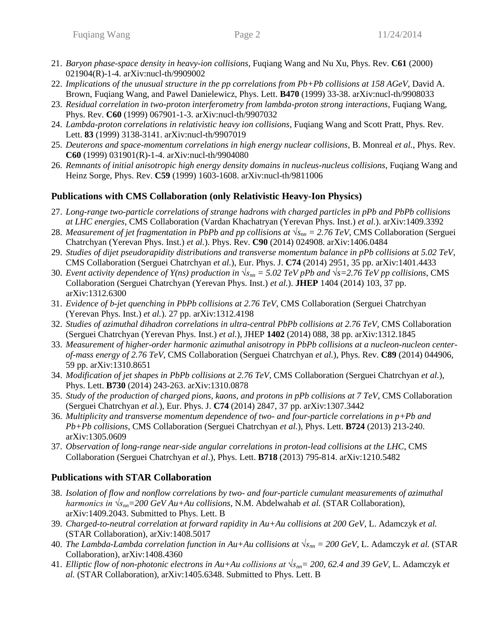- 21. *Baryon phase-space density in heavy-ion collisions*, Fuqiang Wang and Nu Xu, Phys. Rev. **C61** (2000) 021904(R)-1-4. arXiv:nucl-th/9909002
- 22. *Implications of the unusual structure in the pp correlations from Pb+Pb collisions at 158 AGeV*, David A. Brown, Fuqiang Wang, and Pawel Danielewicz, Phys. Lett. **B470** (1999) 33-38. arXiv:nucl-th/9908033
- 23. *Residual correlation in two-proton interferometry from lambda-proton strong interactions*, Fuqiang Wang, Phys. Rev. **C60** (1999) 067901-1-3. arXiv:nucl-th/9907032
- 24. *Lambda-proton correlations in relativistic heavy ion collisions*, Fuqiang Wang and Scott Pratt, Phys. Rev. Lett. **83** (1999) 3138-3141. arXiv:nucl-th/9907019
- 25. *Deuterons and space-momentum correlations in high energy nuclear collisions*, B. Monreal *et al.,* Phys. Rev. **C60** (1999) 031901(R)-1-4. arXiv:nucl-th/9904080
- 26. *Remnants of initial anisotropic high energy density domains in nucleus-nucleus collisions*, Fuqiang Wang and Heinz Sorge, Phys. Rev. **C59** (1999) 1603-1608. arXiv:nucl-th/9811006

# **Publications with CMS Collaboration (only Relativistic Heavy-Ion Physics)**

- 27. *Long-range two-particle correlations of strange hadrons with charged particles in pPb and PbPb collisions at LHC energies*, CMS Collaboration (Vardan Khachatryan (Yerevan Phys. Inst.) *et al.*). arXiv:1409.3392
- 28. *Measurement of jet fragmentation in PbPb and pp collisions at √snn = 2.76 TeV*, CMS Collaboration (Serguei Chatrchyan (Yerevan Phys. Inst.) *et al.*). Phys. Rev. **C90** (2014) 024908. arXiv:1406.0484
- 29. *Studies of dijet pseudorapidity distributions and transverse momentum balance in pPb collisions at 5.02 TeV*, CMS Collaboration (Serguei Chatrchyan *et al.*), Eur. Phys. J. **C74** (2014) 2951, 35 pp. arXiv:1401.4433
- 30. *Event activity dependence of Y(ns) production in √snn = 5.02 TeV pPb and √s=2.76 TeV pp collisions*, CMS Collaboration (Serguei Chatrchyan (Yerevan Phys. Inst.) *et al.*). **JHEP** 1404 (2014) 103, 37 pp. arXiv:1312.6300
- 31. *Evidence of b-jet quenching in PbPb collisions at 2.76 TeV*, CMS Collaboration (Serguei Chatrchyan (Yerevan Phys. Inst.) *et al.*). 27 pp. arXiv:1312.4198
- 32. *Studies of azimuthal dihadron correlations in ultra-central PbPb collisions at 2.76 TeV*, CMS Collaboration (Serguei Chatrchyan (Yerevan Phys. Inst.) *et al.*), JHEP **1402** (2014) 088, 38 pp. arXiv:1312.1845
- 33. *Measurement of higher-order harmonic azimuthal anisotropy in PbPb collisions at a nucleon-nucleon centerof-mass energy of 2.76 TeV*, CMS Collaboration (Serguei Chatrchyan *et al.*), Phys. Rev. **C89** (2014) 044906, 59 pp. arXiv:1310.8651
- 34. *Modification of jet shapes in PbPb collisions at 2.76 TeV*, CMS Collaboration (Serguei Chatrchyan *et al.*), Phys. Lett. **B730** (2014) 243-263. arXiv:1310.0878
- 35. *Study of the production of charged pions, kaons, and protons in pPb collisions at 7 TeV*, CMS Collaboration (Serguei Chatrchyan *et al.*), Eur. Phys. J. **C74** (2014) 2847, 37 pp. arXiv:1307.3442
- 36. *Multiplicity and transverse momentum dependence of two- and four-particle correlations in p+Pb and Pb+Pb collisions*, CMS Collaboration (Serguei Chatrchyan *et al.*), Phys. Lett. **B724** (2013) 213-240. arXiv:1305.0609
- 37. *Observation of long-range near-side angular correlations in proton-lead collisions at the LHC*, CMS Collaboration (Serguei Chatrchyan *et al*.), Phys. Lett. **B718** (2013) 795-814. arXiv:1210.5482

# **Publications with STAR Collaboration**

- 38. *Isolation of flow and nonflow correlations by two- and four-particle cumulant measurements of azimuthal harmonics in √snn=200 GeV Au+Au collisions*, N.M. Abdelwahab *et al.* (STAR Collaboration), arXiv:1409.2043. Submitted to Phys. Lett. B
- 39. *Charged-to-neutral correlation at forward rapidity in Au+Au collisions at 200 GeV*, L. Adamczyk *et al.*  (STAR Collaboration), arXiv:1408.5017
- 40. *The Lambda-Lambda correlation function in Au+Au collisions at √snn = 200 GeV*, L. Adamczyk *et al.* (STAR Collaboration), arXiv:1408.4360
- 41. *Elliptic flow of non-photonic electrons in Au+Au collisions at √snn= 200, 62.4 and 39 GeV*, L. Adamczyk *et al.* (STAR Collaboration), arXiv:1405.6348. Submitted to Phys. Lett. B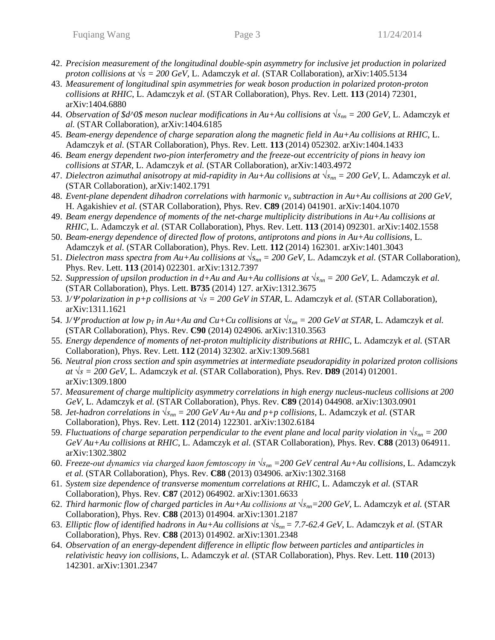- 42. *Precision measurement of the longitudinal double-spin asymmetry for inclusive jet production in polarized proton collisions at* √s = 200 GeV, L. Adamczyk *et al.* (STAR Collaboration), arXiv:1405.5134
- 43. *Measurement of longitudinal spin asymmetries for weak boson production in polarized proton-proton collisions at RHIC*, L. Adamczyk *et al.* (STAR Collaboration), Phys. Rev. Lett. **113** (2014) 72301, arXiv:1404.6880
- 44. *Observation of \$d^0\$ meson nuclear modifications in Au+Au collisions at √snn = 200 GeV*, L. Adamczyk *et al.* (STAR Collaboration), arXiv:1404.6185
- 45. *Beam-energy dependence of charge separation along the magnetic field in Au+Au collisions at RHIC*, L. Adamczyk *et al.* (STAR Collaboration), Phys. Rev. Lett. **113** (2014) 052302. arXiv:1404.1433
- 46. *Beam energy dependent two-pion interferometry and the freeze-out eccentricity of pions in heavy ion collisions at STAR,* L. Adamczyk *et al.* (STAR Collaboration), arXiv:1403.4972
- 47. *Dielectron azimuthal anisotropy at mid-rapidity in Au+Au collisions at √snn = 200 GeV*, L. Adamczyk *et al.*  (STAR Collaboration), arXiv:1402.1791
- 48. *Event-plane dependent dihadron correlations with harmonic v<sup>n</sup> subtraction in Au+Au collisions at 200 GeV*, H. Agakishiev *et al.* (STAR Collaboration), Phys. Rev. **C89** (2014) 041901. arXiv:1404.1070
- 49. *Beam energy dependence of moments of the net-charge multiplicity distributions in Au+Au collisions at RHIC*, L. Adamczyk *et al.* (STAR Collaboration), Phys. Rev. Lett. **113** (2014) 092301*.* arXiv:1402.1558
- 50. *Beam-energy dependence of directed flow of protons, antiprotons and pions in Au+Au collisions*, L. Adamczyk *et al.* (STAR Collaboration), Phys. Rev. Lett. **112** (2014) 162301*.* arXiv:1401.3043
- 51. *Dielectron mass spectra from Au+Au collisions at √snn = 200 GeV*, L. Adamczyk *et al.* (STAR Collaboration), Phys. Rev. Lett. **113** (2014) 022301*.* arXiv:1312.7397
- 52. *Suppression of upsilon production in d+Au and Au+Au collisions at*  $\sqrt{s_{nn}} = 200$  GeV, L. Adamczyk *et al.* (STAR Collaboration), Phys. Lett. **B735** (2014) 127*.* arXiv:1312.3675
- 53. J*/ polarization in p+p collisions at √s = 200 GeV in STAR*, L. Adamczyk *et al.* (STAR Collaboration), arXiv:1311.1621
- 54. J/ $\varPsi$  production at low  $p_T$  in Au+Au and Cu+Cu collisions at  $\sqrt{s_{nn}} = 200$  GeV at STAR, L. Adamczyk *et al.* (STAR Collaboration), Phys. Rev. **C90** (2014) 024906*.* arXiv:1310.3563
- 55. *Energy dependence of moments of net-proton multiplicity distributions at RHIC*, L. Adamczyk *et al.* (STAR Collaboration), Phys. Rev. Lett. **112** (2014) 32302. arXiv:1309.5681
- 56. *Neutral pion cross section and spin asymmetries at intermediate pseudorapidity in polarized proton collisions at √s = 200 GeV*, L. Adamczyk *et al.* (STAR Collaboration), Phys. Rev. **D89** (2014) 012001. arXiv:1309.1800
- 57. *Measurement of charge multiplicity asymmetry correlations in high energy nucleus-nucleus collisions at 200 GeV*, L. Adamczyk *et al.* (STAR Collaboration), Phys. Rev. **C89** (2014) 044908. arXiv:1303.0901
- 58. *Jet-hadron correlations in*  $\sqrt{s_{nn}} = 200 \text{ GeV}$  *Au+Au and p+p collisions*, L. Adamczyk *et al.* (STAR Collaboration), Phys. Rev. Lett. **112** (2014) 122301. arXiv:1302.6184
- 59. *Fluctuations of charge separation perpendicular to the event plane and local parity violation in*  $\sqrt{s_{nn}} = 200$ *GeV Au+Au collisions at RHIC*, L. Adamczyk *et al.* (STAR Collaboration), Phys. Rev. **C88** (2013) 064911. arXiv:1302.3802
- 60. *Freeze-out dynamics via charged kaon femtoscopy in √snn =200 GeV central Au+Au collisions*, L. Adamczyk *et al.* (STAR Collaboration), Phys. Rev. **C88** (2013) 034906. arXiv:1302.3168
- 61. *System size dependence of transverse momentum correlations at RHIC*, L. Adamczyk *et al.* (STAR Collaboration), Phys. Rev. **C87** (2012) 064902. arXiv:1301.6633
- 62. *Third harmonic flow of charged particles in Au+Au collisions at √snn=200 GeV*, L. Adamczyk *et al.* (STAR Collaboration), Phys. Rev. **C88** (2013) 014904. arXiv:1301.2187
- 63. *Elliptic flow of identified hadrons in Au+Au collisions at √snn= 7.7-62.4 GeV*, L. Adamczyk *et al.* (STAR Collaboration), Phys. Rev. **C88** (2013) 014902. arXiv:1301.2348
- 64. *Observation of an energy-dependent difference in elliptic flow between particles and antiparticles in relativistic heavy ion collisions*, L. Adamczyk *et al.* (STAR Collaboration), Phys. Rev. Lett. **110** (2013) 142301. arXiv:1301.2347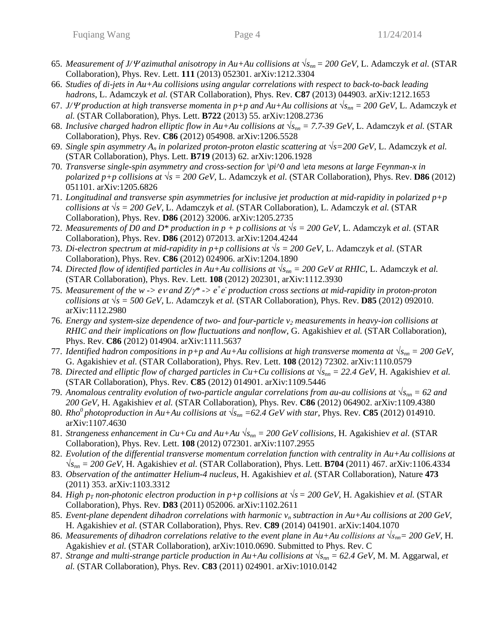- 65. *Measurement of J/* $\varPsi$  *azimuthal anisotropy in Au+Au collisions at*  $\sqrt{s_{nn}}$  *= 200 GeV, L. Adamczyk <i>et al.* (STAR Collaboration), Phys. Rev. Lett. **111** (2013) 052301. arXiv:1212.3304
- 66. *Studies of di-jets in Au+Au collisions using angular correlations with respect to back-to-back leading hadrons*, L. Adamczyk *et al.* (STAR Collaboration), Phys. Rev. **C87** (2013) 044903. arXiv:1212.1653
- 67. *J/* $\Psi$  *production at high transverse momenta in p+p and Au+Au collisions at*  $\sqrt{s_{nn}} = 200$  *GeV, L. Adamczyk <i>et al.* (STAR Collaboration), Phys. Lett. **B722** (2013) 55. arXiv:1208.2736
- 68. *Inclusive charged hadron elliptic flow in Au+Au collisions at √snn = 7.7-39 GeV*, L. Adamczyk *et al.* (STAR Collaboration), Phys. Rev. **C86** (2012) 054908. arXiv:1206.5528
- 69. *Single spin asymmetry A<sup>n</sup> in polarized proton-proton elastic scattering at √s=200 GeV*, L. Adamczyk *et al.*  (STAR Collaboration), Phys. Lett. **B719** (2013) 62. arXiv:1206.1928
- 70. *Transverse single-spin asymmetry and cross-section for \pi^0 and \eta mesons at large Feynman-x in polarized p+p collisions at*  $\sqrt{s}$  = 200 GeV, L. Adamczyk *et al.* (STAR Collaboration), Phys. Rev. **D86** (2012) 051101. arXiv:1205.6826
- 71. *Longitudinal and transverse spin asymmetries for inclusive jet production at mid-rapidity in polarized p+p collisions at √s = 200 GeV*, L. Adamczyk *et al.* (STAR Collaboration), L. Adamczyk *et al.* (STAR Collaboration), Phys. Rev. **D86** (2012) 32006. arXiv:1205.2735
- 72. *Measurements of D0 and D\* production in*  $p + p$  *collisions at*  $\sqrt{s} = 200 \text{ GeV}$ , L. Adamczyk *et al.* (STAR Collaboration), Phys. Rev. **D86** (2012) 072013. arXiv:1204.4244
- 73. *Di-electron spectrum at mid-rapidity in p+p collisions at √s = 200 GeV*, L. Adamczyk *et al.* (STAR Collaboration), Phys. Rev. **C86** (2012) 024906. arXiv:1204.1890
- 74. *Directed flow of identified particles in Au+Au collisions at √snn = 200 GeV at RHIC*, L. Adamczyk *et al.*  (STAR Collaboration), Phys. Rev. Lett. **108** (2012) 202301, arXiv:1112.3930
- 75. Measurement of the  $w \rightarrow e \nu$  and  $Z/\gamma^* \rightarrow e^+e^-$  production cross sections at mid-rapidity in proton-proton *collisions at*  $\sqrt{s}$  = 500 GeV, L. Adamczyk *et al.* (STAR Collaboration), Phys. Rev. **D85** (2012) 092010. arXiv:1112.2980
- 76. *Energy and system-size dependence of two- and four-particle v<sup>2</sup> measurements in heavy-ion collisions at RHIC and their implications on flow fluctuations and nonflow*, G. Agakishiev *et al.* (STAR Collaboration), Phys. Rev. **C86** (2012) 014904. arXiv:1111.5637
- 77. *Identified hadron compositions in p+p and Au+Au collisions at high transverse momenta at*  $\sqrt{s_{nn}} = 200$  GeV, G. Agakishiev *et al.* (STAR Collaboration), Phys. Rev. Lett. **108** (2012) 72302. arXiv:1110.0579
- 78. *Directed and elliptic flow of charged particles in Cu+Cu collisions at √snn = 22.4 GeV*, H. Agakishiev *et al.* (STAR Collaboration), Phys. Rev. **C85** (2012) 014901. arXiv:1109.5446
- 79. *Anomalous centrality evolution of two-particle angular correlations from au-au collisions at √snn = 62 and 200 GeV*, H. Agakishiev *et al.* (STAR Collaboration), Phys. Rev. **C86** (2012) 064902. arXiv:1109.4380
- 80. *Rho<sup>0</sup>* photoproduction in Au+Au collisions at  $\sqrt{s_{nn}}$  =62.4 GeV with star, Phys. Rev. **C85** (2012) 014910. arXiv:1107.4630
- 81. *Strangeness enhancement in Cu+Cu and Au+Au √snn = 200 GeV collisions,* H. Agakishiev *et al.* (STAR Collaboration), Phys. Rev. Lett. **108** (2012) 072301. arXiv:1107.2955
- 82. *Evolution of the differential transverse momentum correlation function with centrality in Au+Au collisions at √snn = 200 GeV*, H. Agakishiev *et al.* (STAR Collaboration), Phys. Lett. **B704** (2011) 467. arXiv:1106.4334
- 83. *Observation of the antimatter Helium-4 nucleus*, H. Agakishiev *et al.* (STAR Collaboration), Nature **473** (2011) 353. arXiv:1103.3312
- 84. *High p<sub>T</sub>* non-photonic electron production in p+p collisions at  $\sqrt{s} = 200$  GeV, H. Agakishiev *et al.* (STAR Collaboration), Phys. Rev. **D83** (2011) 052006. arXiv:1102.2611
- 85. *Event-plane dependent dihadron correlations with harmonic*  $v_n$  *subtraction in Au+Au collisions at 200 GeV*, H. Agakishiev *et al.* (STAR Collaboration), Phys. Rev. **C89** (2014) 041901. arXiv:1404.1070
- 86. *Measurements of dihadron correlations relative to the event plane in Au+Au collisions at*  $\sqrt{s_{nn}}$ *= 200 GeV, H.* Agakishiev *et al.* (STAR Collaboration), arXiv:1010.0690. Submitted to Phys. Rev. C
- 87. *Strange and multi-strange particle production in Au+Au collisions at*  $\sqrt{s_{nn}}$  = 62.4 GeV, M. M. Aggarwal, *et al.* (STAR Collaboration), Phys. Rev. **C83** (2011) 024901. arXiv:1010.0142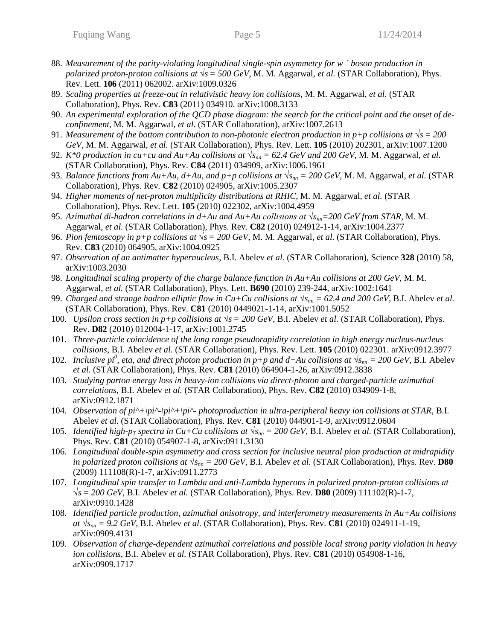- 88. *Measurement of the parity-violating longitudinal single-spin asymmetry for w+- boson production in polarized proton-proton collisions at*  $\sqrt{s} = 500 \text{ GeV}$ , M. M. Aggarwal, *et al.* (STAR Collaboration), Phys. Rev. Lett. **106** (2011) 062002. arXiv:1009.0326
- 89. *Scaling properties at freeze-out in relativistic heavy ion collisions*, M. M. Aggarwal, *et al.* (STAR Collaboration), Phys. Rev. **C83** (2011) 034910. arXiv:1008.3133
- 90. *An experimental exploration of the QCD phase diagram: the search for the critical point and the onset of deconfinement*, M. M. Aggarwal, *et al.* (STAR Collaboration), arXiv:1007.2613
- 91. *Measurement of the bottom contribution to non-photonic electron production in p+p collisions at √s= 200 GeV*, M. M. Aggarwal, *et al.* (STAR Collaboration), Phys. Rev. Lett. **105** (2010) 202301, arXiv:1007.1200
- 92. *K*\*0 production in cu+cu and Au+Au collisions at  $\sqrt{s_{nn}}$  = 62.4 GeV and 200 GeV, M. M. Aggarwal, et al. (STAR Collaboration), Phys. Rev. **C84** (2011) 034909, arXiv:1006.1961
- 93. *Balance functions from Au+Au, d+Au, and p+p collisions at*  $\sqrt{s_{nn}}$  = 200 GeV, M. M. Aggarwal, *et al.* (STAR Collaboration), Phys. Rev. **C82** (2010) 024905, arXiv:1005.2307
- 94. *Higher moments of net-proton multiplicity distributions at RHIC*, M. M. Aggarwal, *et al.* (STAR Collaboration), Phys. Rev. Lett. **105** (2010) 022302, arXiv:1004.4959
- 95. *Azimuthal di-hadron correlations in d+Au and Au+Au collisions at √snn=200 GeV from STAR*, M. M. Aggarwal, *et al.* (STAR Collaboration), Phys. Rev. **C82** (2010) 024912-1-14, arXiv:1004.2377
- 96. *Pion femtoscopy in p+p collisions at √s= 200 GeV*, M. M. Aggarwal, *et al.* (STAR Collaboration), Phys. Rev. **C83** (2010) 064905, arXiv:1004.0925
- 97. *Observation of an antimatter hypernucleus*, B.I. Abelev *et al.* (STAR Collaboration), Science **328** (2010) 58, arXiv:1003.2030
- 98. *Longitudinal scaling property of the charge balance function in Au+Au collisions at 200 GeV*, M. M. Aggarwal, *et al.* (STAR Collaboration), Phys. Lett. **B690** (2010) 239-244, arXiv:1002:1641
- 99. *Charged and strange hadron elliptic flow in Cu+Cu collisions at*  $\sqrt{s_{nn}}$  = 62.4 and 200 GeV, B.I. Abelev *et al.* (STAR Collaboration), Phys. Rev. **C81** (2010) 0449021-1-14, arXiv:1001.5052
- 100. *Upsilon cross section in p+p collisions at √s= 200 GeV*, B.I. Abelev *et al.* (STAR Collaboration), Phys. Rev. **D82** (2010) 012004-1-17, arXiv:1001.2745
- 101. *Three-particle coincidence of the long range pseudorapidity correlation in high energy nucleus-nucleus collisions*, B.I. Abelev *et al.* (STAR Collaboration), Phys. Rev. Lett. **105** (2010) 022301. arXiv:0912.3977
- 102. *Inclusive pi<sup>0</sup>*, eta, and direct photon production in p+p and d+Au collisions at  $\sqrt{s_{nn}} = 200$  GeV, B.I. Abelev *et al.* (STAR Collaboration), Phys. Rev. **C81** (2010) 064904-1-26, arXiv:0912.3838
- 103. *Studying parton energy loss in heavy-ion collisions via direct-photon and charged-particle azimuthal correlations*, B.I. Abelev *et al.* (STAR Collaboration), Phys. Rev. **C82** (2010) 034909-1-8, arXiv:0912.1871
- 104. *Observation of pi^+\pi^-\pi^+\pi^- photoproduction in ultra-peripheral heavy ion collisions at STAR*, B.I. Abelev *et al.* (STAR Collaboration), Phys. Rev. **C81** (2010) 044901-1-9, arXiv:0912.0604
- 105. *Identified high-p<sub>T</sub>* spectra in Cu+Cu collisions at  $\sqrt{s_{nn}} = 200$  GeV, B.I. Abelev *et al.* (STAR Collaboration), Phys. Rev. **C81** (2010) 054907-1-8, arXiv:0911.3130
- 106. *Longitudinal double-spin asymmetry and cross section for inclusive neutral pion production at midrapidity in polarized proton collisions at*  $\sqrt{s_{nn}} = 200 \text{ GeV}$ , B.I. Abelev *et al.* (STAR Collaboration), Phys. Rev. **D80** (2009) 111108(R)-1-7, arXiv:0911.2773
- 107. *Longitudinal spin transfer to Lambda and anti-Lambda hyperons in polarized proton-proton collisions at √s= 200 GeV*, B.I. Abelev *et al.* (STAR Collaboration), Phys. Rev. **D80** (2009) 111102(R)-1-7, arXiv:0910.1428
- 108. *Identified particle production, azimuthal anisotropy, and interferometry measurements in Au+Au collisions at*  $\sqrt{s_{nn}}$  = 9.2 *GeV*, B.I. Abelev *et al.* (STAR Collaboration), Phys. Rev. **C81** (2010) 024911-1-19, arXiv:0909.4131
- 109. *Observation of charge-dependent azimuthal correlations and possible local strong parity violation in heavy ion collisions*, B.I. Abelev *et al.* (STAR Collaboration), Phys. Rev. **C81** (2010) 054908-1-16, arXiv:0909.1717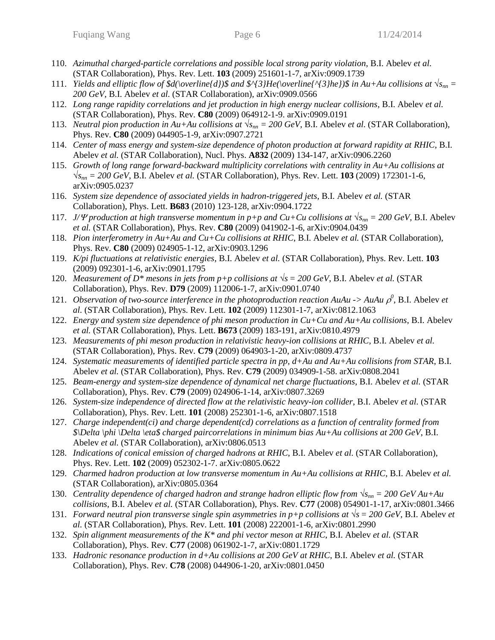- 110. *Azimuthal charged-particle correlations and possible local strong parity violation*, B.I. Abelev *et al.* (STAR Collaboration), Phys. Rev. Lett. **103** (2009) 251601-1-7, arXiv:0909.1739
- 111. *Yields and elliptic flow of \$d*(\*overline{d})\$ and \$*^{3*}He*(\*overline{*^{3*}he})\$ in Au+Au collisions at*  $\sqrt{s_{nn}}$  *= 200 GeV*, B.I. Abelev *et al.* (STAR Collaboration), arXiv:0909.0566
- 112. *Long range rapidity correlations and jet production in high energy nuclear collisions*, B.I. Abelev *et al.* (STAR Collaboration), Phys. Rev. **C80** (2009) 064912-1-9. arXiv:0909.0191
- 113. *Neutral pion production in Au+Au collisions at*  $\sqrt{s_{nn}} = 200 \text{ GeV}$ , B.I. Abelev *et al.* (STAR Collaboration), Phys. Rev. **C80** (2009) 044905-1-9, arXiv:0907.2721
- 114. *Center of mass energy and system-size dependence of photon production at forward rapidity at RHIC*, B.I. Abelev *et al.* (STAR Collaboration), Nucl. Phys. **A832** (2009) 134-147, arXiv:0906.2260
- 115. *Growth of long range forward-backward multiplicity correlations with centrality in Au+Au collisions at √snn = 200 GeV*, B.I. Abelev *et al.* (STAR Collaboration), Phys. Rev. Lett. **103** (2009) 172301-1-6, arXiv:0905.0237
- 116. *System size dependence of associated yields in hadron-triggered jets*, B.I. Abelev *et al.* (STAR Collaboration), Phys. Lett. **B683** (2010) 123-128, arXiv:0904.1722
- 117. *J/* $\Psi$  *production at high transverse momentum in p+p and Cu+Cu collisions at*  $\sqrt{s_{nn}} = 200$  GeV, B.I. Abelev *et al.* (STAR Collaboration), Phys. Rev. **C80** (2009) 041902-1-6, arXiv:0904.0439
- 118. *Pion interferometry in Au+Au and Cu+Cu collisions at RHIC*, B.I. Abelev *et al.* (STAR Collaboration), Phys. Rev. **C80** (2009) 024905-1-12, arXiv:0903.1296
- 119. *K/pi fluctuations at relativistic energies*, B.I. Abelev *et al.* (STAR Collaboration), Phys. Rev. Lett. **103** (2009) 092301-1-6, arXiv:0901.1795
- 120. *Measurement of D\* mesons in jets from p+p collisions at √s= 200 GeV*, B.I. Abelev *et al.* (STAR Collaboration), Phys. Rev. **D79** (2009) 112006-1-7, arXiv:0901.0740
- 121. *Observation of two-source interference in the photoproduction reaction AuAu -> AuAu*  $\rho^0$ *, B.I. Abelev et al.* (STAR Collaboration), Phys. Rev. Lett. **102** (2009) 112301-1-7, arXiv:0812.1063
- 122. *Energy and system size dependence of phi meson production in Cu+Cu and Au+Au collisions,* B.I. Abelev *et al.* (STAR Collaboration), Phys. Lett. **B673** (2009) 183-191, arXiv:0810.4979
- 123. *Measurements of phi meson production in relativistic heavy-ion collisions at RHIC*, B.I. Abelev *et al.* (STAR Collaboration), Phys. Rev. **C79** (2009) 064903-1-20, arXiv:0809.4737
- 124. *Systematic measurements of identified particle spectra in pp, d+Au and Au+Au collisions from STAR*, B.I. Abelev *et al.* (STAR Collaboration), Phys. Rev. **C79** (2009) 034909-1-58. arXiv:0808.2041
- 125. *Beam-energy and system-size dependence of dynamical net charge fluctuations*, B.I. Abelev *et al.* (STAR Collaboration), Phys. Rev. **C79** (2009) 024906-1-14, arXiv:0807.3269
- 126. *System-size independence of directed flow at the relativistic heavy-ion collider*, B.I. Abelev *et al.* (STAR Collaboration), Phys. Rev. Lett. **101** (2008) 252301-1-6, arXiv:0807.1518
- 127. *Charge independent(ci) and charge dependent(cd) correlations as a function of centrality formed from \$\Delta \phi \Delta \eta\$ charged paircorrelations in minimum bias Au+Au collisions at 200 GeV*, B.I. Abelev *et al.* (STAR Collaboration), arXiv:0806.0513
- 128. *Indications of conical emission of charged hadrons at RHIC*, B.I. Abelev *et al.* (STAR Collaboration), Phys. Rev. Lett. **102** (2009) 052302-1-7. arXiv:0805.0622
- 129. *Charmed hadron production at low transverse momentum in Au+Au collisions at RHIC*, B.I. Abelev *et al.* (STAR Collaboration), arXiv:0805.0364
- 130. *Centrality dependence of charged hadron and strange hadron elliptic flow from √snn = 200 GeV Au+Au collisions*, B.I. Abelev *et al.* (STAR Collaboration), Phys. Rev. **C77** (2008) 054901-1-17, arXiv:0801.3466
- 131. *Forward neutral pion transverse single spin asymmetries in p+p collisions at √s= 200 GeV,* B.I. Abelev *et al.* (STAR Collaboration), Phys. Rev. Lett. **101** (2008) 222001-1-6, arXiv:0801.2990
- 132. *Spin alignment measurements of the K\* and phi vector meson at RHIC*, B.I. Abelev *et al.* (STAR Collaboration), Phys. Rev. **C77** (2008) 061902-1-7, arXiv:0801.1729
- 133. *Hadronic resonance production in d+Au collisions at 200 GeV at RHIC*, B.I. Abelev *et al.* (STAR Collaboration), Phys. Rev. **C78** (2008) 044906-1-20, arXiv:0801.0450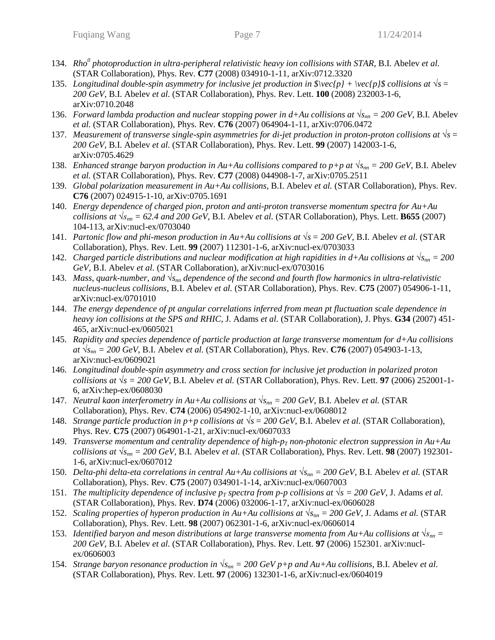- 134. *Rho<sup>0</sup> photoproduction in ultra-peripheral relativistic heavy ion collisions with STAR*, B.I. Abelev *et al.* (STAR Collaboration), Phys. Rev. **C77** (2008) 034910-1-11, arXiv:0712.3320
- 135. *Longitudinal double-spin asymmetry for inclusive jet production in*  $\vec{p} = \sqrt{p} + \vec{p}$  *collisions at*  $\sqrt{s} =$ *200 GeV*, B.I. Abelev *et al.* (STAR Collaboration), Phys. Rev. Lett. **100** (2008) 232003-1-6, arXiv:0710.2048
- 136. *Forward lambda production and nuclear stopping power in d+Au collisions at*  $\sqrt{s_{nn}} = 200$  GeV, B.I. Abelev *et al.* (STAR Collaboration), Phys. Rev. **C76** (2007) 064904-1-11, arXiv:0706.0472
- 137. *Measurement of transverse single-spin asymmetries for di-jet production in proton-proton collisions at √s= 200 GeV*, B.I. Abelev *et al.* (STAR Collaboration), Phys. Rev. Lett. **99** (2007) 142003-1-6, arXiv:0705.4629
- 138. *Enhanced strange baryon production in Au+Au collisions compared to p+p at*  $\sqrt{s_{nn}} = 200$  GeV, B.I. Abelev *et al.* (STAR Collaboration), Phys. Rev. **C77** (2008) 044908-1-7, arXiv:0705.2511
- 139. *Global polarization measurement in Au+Au collisions*, B.I. Abelev *et al.* (STAR Collaboration), Phys. Rev. **C76** (2007) 024915-1-10, arXiv:0705.1691
- 140. *Energy dependence of charged pion, proton and anti-proton transverse momentum spectra for Au+Au collisions at*  $\sqrt{s_{nn}}$  = 62.4 *and 200 GeV*, B.I. Abelev *et al.* (STAR Collaboration), Phys. Lett. **B655** (2007) 104-113, arXiv:nucl-ex/0703040
- 141. *Partonic flow and phi-meson production in Au+Au collisions at √s= 200 GeV*, B.I. Abelev *et al.* (STAR Collaboration), Phys. Rev. Lett. **99** (2007) 112301-1-6, arXiv:nucl-ex/0703033
- 142. *Charged particle distributions and nuclear modification at high rapidities in d+Au collisions at*  $\sqrt{s_{nn}} = 200$ *GeV*, B.I. Abelev *et al.* (STAR Collaboration), arXiv:nucl-ex/0703016
- 143. *Mass, quark-number, and √snn dependence of the second and fourth flow harmonics in ultra-relativistic nucleus-nucleus collisions*, B.I. Abelev *et al.* (STAR Collaboration), Phys. Rev. **C75** (2007) 054906-1-11, arXiv:nucl-ex/0701010
- 144. *The energy dependence of pt angular correlations inferred from mean pt fluctuation scale dependence in heavy ion collisions at the SPS and RHIC*, J. Adams *et al.* (STAR Collaboration), J. Phys. **G34** (2007) 451- 465, arXiv:nucl-ex/0605021
- 145. *Rapidity and species dependence of particle production at large transverse momentum for d+Au collisions at √snn = 200 GeV*, B.I. Abelev *et al.* (STAR Collaboration), Phys. Rev. **C76** (2007) 054903-1-13, arXiv:nucl-ex/0609021
- 146. *Longitudinal double-spin asymmetry and cross section for inclusive jet production in polarized proton collisions at*  $\sqrt{s}$  = 200 GeV, B.I. Abelev *et al.* (STAR Collaboration), Phys. Rev. Lett. **97** (2006) 252001-1-6, arXiv:hep-ex/0608030
- 147. *Neutral kaon interferometry in Au+Au collisions at*  $\sqrt{s_{nn}} = 200$  GeV, B.I. Abelev *et al.* (STAR Collaboration), Phys. Rev. **C74** (2006) 054902-1-10, arXiv:nucl-ex/0608012
- 148. *Strange particle production in p+p collisions at √s= 200 GeV*, B.I. Abelev *et al.* (STAR Collaboration), Phys. Rev. **C75** (2007) 064901-1-21, arXiv:nucl-ex/0607033
- 149. *Transverse momentum and centrality dependence of high-p<sup>T</sup> non-photonic electron suppression in Au+Au collisions at*  $\sqrt{s_{mn}}$  = 200 GeV, B.I. Abelev *et al.* (STAR Collaboration), Phys. Rev. Lett. **98** (2007) 192301-1-6, arXiv:nucl-ex/0607012
- 150. *Delta-phi delta-eta correlations in central Au+Au collisions at*  $\sqrt{s_{nn}}$  = 200 GeV, B.I. Abelev *et al.* (STAR Collaboration), Phys. Rev. **C75** (2007) 034901-1-14, arXiv:nucl-ex/0607003
- 151. *The multiplicity dependence of inclusive*  $p_T$  *spectra from p-p collisions at*  $\sqrt{s} = 200 \text{ GeV}$ , J. Adams *et al.* (STAR Collaboration), Phys. Rev. **D74** (2006) 032006-1-17, arXiv:nucl-ex/0606028
- 152. *Scaling properties of hyperon production in Au+Au collisions at √snn = 200 GeV*, J. Adams *et al.* (STAR Collaboration), Phys. Rev. Lett. **98** (2007) 062301-1-6, arXiv:nucl-ex/0606014
- 153. *Identified baryon and meson distributions at large transverse momenta from Au+Au collisions at*  $\sqrt{s_{nn}} =$ *200 GeV*, B.I. Abelev *et al.* (STAR Collaboration), Phys. Rev. Lett. **97** (2006) 152301. arXiv:nuclex/0606003
- 154. *Strange baryon resonance production in*  $\sqrt{s_{nn}} = 200$  GeV  $p+p$  and Au+Au collisions, B.I. Abelev *et al.* (STAR Collaboration), Phys. Rev. Lett. **97** (2006) 132301-1-6, arXiv:nucl-ex/0604019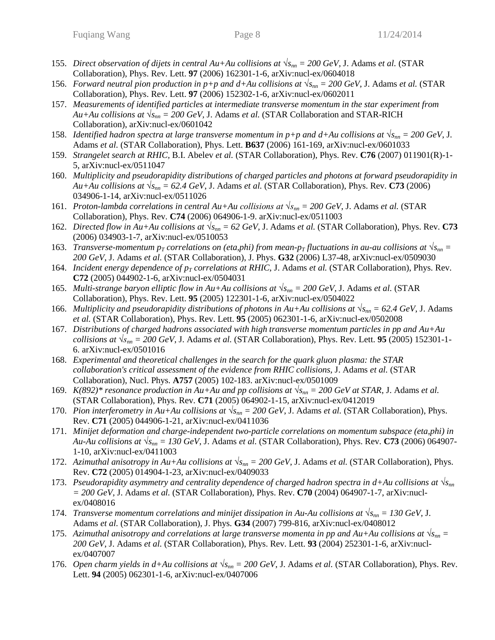- 155. *Direct observation of dijets in central Au+Au collisions at*  $\sqrt{s_{nn}} = 200$  GeV, J. Adams *et al.* (STAR Collaboration), Phys. Rev. Lett. **97** (2006) 162301-1-6, arXiv:nucl-ex/0604018
- 156. *Forward neutral pion production in p+p and d+Au collisions at √snn = 200 GeV*, J. Adams *et al.* (STAR Collaboration), Phys. Rev. Lett. **97** (2006) 152302-1-6, arXiv:nucl-ex/0602011
- 157. *Measurements of identified particles at intermediate transverse momentum in the star experiment from Au+Au collisions at*  $\sqrt{s_{nn}}$  = 200 GeV, J. Adams *et al.* (STAR Collaboration and STAR-RICH Collaboration), arXiv:nucl-ex/0601042
- 158. *Identified hadron spectra at large transverse momentum in p+p and d+Au collisions at*  $\sqrt{s_{nn}} = 200$  *GeV, J.* Adams *et al.* (STAR Collaboration), Phys. Lett. **B637** (2006) 161-169, arXiv:nucl-ex/0601033
- 159. *Strangelet search at RHIC,* B.I. Abelev *et al.* (STAR Collaboration), Phys. Rev. **C76** (2007) 011901(R)-1- 5, arXiv:nucl-ex/0511047
- 160. *Multiplicity and pseudorapidity distributions of charged particles and photons at forward pseudorapidity in Au+Au collisions at*  $\sqrt{s_{nn}}$  = 62.4 *GeV*, J. Adams *et al.* (STAR Collaboration), Phys. Rev. **C73** (2006) 034906-1-14, arXiv:nucl-ex/0511026
- 161. *Proton-lambda correlations in central Au+Au collisions at*  $\sqrt{s_{nn}} = 200$  GeV, J. Adams *et al.* (STAR Collaboration), Phys. Rev. **C74** (2006) 064906-1-9. arXiv:nucl-ex/0511003
- 162. *Directed flow in Au+Au collisions at*  $\sqrt{s_{nn}}$  = 62 GeV, J. Adams *et al.* (STAR Collaboration), Phys. Rev. **C73** (2006) 034903-1-7, arXiv:nucl-ex/0510053
- 163. *Transverse-momentum p<sub>T</sub>* correlations on (eta,phi) from mean-p<sub>T</sub> fluctuations in au-au collisions at  $\sqrt{s_{nn}} =$ *200 GeV*, J. Adams *et al.* (STAR Collaboration), J. Phys. **G32** (2006) L37-48, arXiv:nucl-ex/0509030
- 164. *Incident energy dependence of p<sup>T</sup> correlations at RHIC*, J. Adams *et al.* (STAR Collaboration), Phys. Rev. **C72** (2005) 044902-1-6, arXiv:nucl-ex/0504031
- 165. *Multi-strange baryon elliptic flow in Au+Au collisions at*  $\sqrt{s_{nn}} = 200$  GeV, J. Adams *et al.* (STAR Collaboration), Phys. Rev. Lett. **95** (2005) 122301-1-6, arXiv:nucl-ex/0504022
- 166. *Multiplicity and pseudorapidity distributions of photons in Au+Au collisions at*  $\sqrt{s_{nn}} = 62.4 \text{ GeV}$ , J. Adams *et al.* (STAR Collaboration), Phys. Rev. Lett. **95** (2005) 062301-1-6, arXiv:nucl-ex/0502008
- 167. *Distributions of charged hadrons associated with high transverse momentum particles in pp and Au+Au collisions at*  $\sqrt{s_{nn}}$  = 200 GeV, J. Adams *et al.* (STAR Collaboration), Phys. Rev. Lett. **95** (2005) 152301-1-6. arXiv:nucl-ex/0501016
- 168. *Experimental and theoretical challenges in the search for the quark gluon plasma: the STAR collaboration's critical assessment of the evidence from RHIC collisions*, J. Adams *et al.* (STAR Collaboration), Nucl. Phys. **A757** (2005) 102-183. arXiv:nucl-ex/0501009
- 169. *K*(892)\* resonance production in Au+Au and pp collisions at  $\sqrt{s_{nn}} = 200$  GeV at STAR, J. Adams et al. (STAR Collaboration), Phys. Rev. **C71** (2005) 064902-1-15, arXiv:nucl-ex/0412019
- 170. *Pion interferometry in Au+Au collisions at*  $\sqrt{s_{nn}} = 200 \text{ GeV}$ , J. Adams *et al.* (STAR Collaboration), Phys. Rev. **C71** (2005) 044906-1-21, arXiv:nucl-ex/0411036
- 171. *Minijet deformation and charge-independent two-particle correlations on momentum subspace (eta,phi) in Au-Au collisions at*  $\sqrt{s_{nn}}$  = 130 GeV, J. Adams *et al.* (STAR Collaboration), Phys. Rev. **C73** (2006) 064907-1-10, arXiv:nucl-ex/0411003
- 172. *Azimuthal anisotropy in Au+Au collisions at*  $\sqrt{s_{nn}} = 200 \text{ GeV}$ , J. Adams *et al.* (STAR Collaboration), Phys. Rev. **C72** (2005) 014904-1-23, arXiv:nucl-ex/0409033
- 173. *Pseudorapidity asymmetry and centrality dependence of charged hadron spectra in d+Au collisions at √snn = 200 GeV*, J. Adams *et al.* (STAR Collaboration), Phys. Rev. **C70** (2004) 064907-1-7, arXiv:nuclex/0408016
- 174. *Transverse momentum correlations and minijet dissipation in Au-Au collisions at*  $\sqrt{s_{nn}} = 130 \text{ GeV}$ , J. Adams *et al.* (STAR Collaboration), J. Phys. **G34** (2007) 799-816, arXiv:nucl-ex/0408012
- 175. Azimuthal anisotropy and correlations at large transverse momenta in pp and Au+Au collisions at  $\sqrt{s_{nn}}$ *200 GeV*, J. Adams *et al.* (STAR Collaboration), Phys. Rev. Lett. **93** (2004) 252301-1-6, arXiv:nuclex/0407007
- 176. *Open charm yields in d+Au collisions at*  $\sqrt{s_{nn}} = 200$  GeV, J. Adams *et al.* (STAR Collaboration), Phys. Rev. Lett. **94** (2005) 062301-1-6, arXiv:nucl-ex/0407006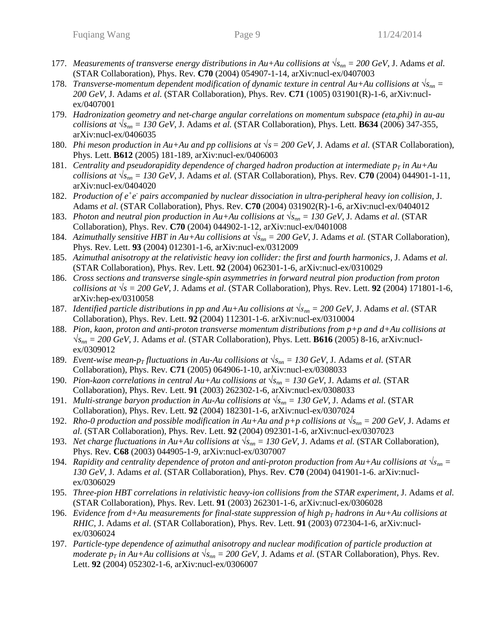- 177. *Measurements of transverse energy distributions in Au+Au collisions at*  $\sqrt{s_{nn}} = 200 \text{ GeV}$ , J. Adams *et al.* (STAR Collaboration), Phys. Rev. **C70** (2004) 054907-1-14, arXiv:nucl-ex/0407003
- 178. *Transverse-momentum dependent modification of dynamic texture in central Au+Au collisions at*  $\sqrt{s_{nn}}$  = *200 GeV*, J. Adams *et al.* (STAR Collaboration), Phys. Rev. **C71** (1005) 031901(R)-1-6, arXiv:nuclex/0407001
- 179. *Hadronization geometry and net-charge angular correlations on momentum subspace (eta,phi) in au-au collisions at*  $\sqrt{s_{nn}}$  = 130 GeV, J. Adams *et al.* (STAR Collaboration), Phys. Lett. **B634** (2006) 347-355, arXiv:nucl-ex/0406035
- 180. *Phi meson production in Au+Au and pp collisions at*  $\sqrt{s} = 200 \text{ GeV}$ , J. Adams *et al.* (STAR Collaboration), Phys. Lett. **B612** (2005) 181-189, arXiv:nucl-ex/0406003
- 181. *Centrality and pseudorapidity dependence of charged hadron production at intermediate*  $p<sub>T</sub>$  *in Au+Au collisions at*  $\sqrt{s_{nn}}$  = 130 GeV, J. Adams *et al.* (STAR Collaboration), Phys. Rev. **C70** (2004) 044901-1-11, arXiv:nucl-ex/0404020
- 182. Production of  $e^+e^-$  pairs accompanied by nuclear dissociation in ultra-peripheral heavy ion collision, J. Adams *et al.* (STAR Collaboration), Phys. Rev. **C70** (2004) 031902(R)-1-6, arXiv:nucl-ex/0404012
- 183. *Photon and neutral pion production in Au+Au collisions at √snn = 130 GeV*, J. Adams *et al.* (STAR Collaboration), Phys. Rev. **C70** (2004) 044902-1-12, arXiv:nucl-ex/0401008
- 184. *Azimuthally sensitive HBT in Au+Au collisions at*  $\sqrt{s_{nn}}$  = 200 GeV, J. Adams *et al.* (STAR Collaboration), Phys. Rev. Lett. **93** (2004) 012301-1-6, arXiv:nucl-ex/0312009
- 185. *Azimuthal anisotropy at the relativistic heavy ion collider: the first and fourth harmonics*, J. Adams *et al.*  (STAR Collaboration), Phys. Rev. Lett. **92** (2004) 062301-1-6, arXiv:nucl-ex/0310029
- 186. *Cross sections and transverse single-spin asymmetries in forward neutral pion production from proton collisions at*  $\sqrt{s}$  = 200 GeV, J. Adams *et al.* (STAR Collaboration), Phys. Rev. Lett. **92** (2004) 171801-1-6, arXiv:hep-ex/0310058
- 187. *Identified particle distributions in pp and Au+Au collisions at √snn = 200 GeV*, J. Adams *et al.* (STAR Collaboration), Phys. Rev. Lett. **92** (2004) 112301-1-6. arXiv:nucl-ex/0310004
- 188. *Pion, kaon, proton and anti-proton transverse momentum distributions from p+p and d+Au collisions at √snn = 200 GeV,* J. Adams *et al.* (STAR Collaboration), Phys. Lett. **B616** (2005) 8-16, arXiv:nuclex/0309012
- 189. *Event-wise mean-p<sub>T</sub> fluctuations in Au-Au collisions at*  $\sqrt{s_{nn}} = 130$  GeV, J. Adams *et al.* (STAR Collaboration), Phys. Rev. **C71** (2005) 064906-1-10, arXiv:nucl-ex/0308033
- 190. *Pion-kaon correlations in central Au+Au collisions at √snn = 130 GeV*, J. Adams *et al.* (STAR Collaboration), Phys. Rev. Lett. **91** (2003) 262302-1-6, arXiv:nucl-ex/0308033
- 191. *Multi-strange baryon production in Au-Au collisions at*  $\sqrt{s_{nn}} = 130 \text{ GeV}$ , J. Adams *et al.* (STAR Collaboration), Phys. Rev. Lett. **92** (2004) 182301-1-6, arXiv:nucl-ex/0307024
- 192. *Rho-0 production and possible modification in Au+Au and p+p collisions at √snn = 200 GeV*, J. Adams *et al.* (STAR Collaboration), Phys. Rev. Lett. **92** (2004) 092301-1-6, arXiv:nucl-ex/0307023
- 193. *Net charge fluctuations in Au+Au collisions at √snn = 130 GeV*, J. Adams *et al.* (STAR Collaboration), Phys. Rev. **C68** (2003) 044905-1-9, arXiv:nucl-ex/0307007
- 194. *Rapidity and centrality dependence of proton and anti-proton production from Au+Au collisions at*  $\sqrt{s_{nn}} =$ *130 GeV,* J. Adams *et al.* (STAR Collaboration), Phys. Rev. **C70** (2004) 041901-1-6. arXiv:nuclex/0306029
- 195. *Three-pion HBT correlations in relativistic heavy-ion collisions from the STAR experiment*, J. Adams *et al.* (STAR Collaboration), Phys. Rev. Lett. **91** (2003) 262301-1-6, arXiv:nucl-ex/0306028
- 196. *Evidence from d+Au measurements for final-state suppression of high*  $p<sub>T</sub>$  *hadrons in Au+Au collisions at RHIC*, J. Adams *et al.* (STAR Collaboration), Phys. Rev. Lett. **91** (2003) 072304-1-6, arXiv:nuclex/0306024
- 197. *Particle-type dependence of azimuthal anisotropy and nuclear modification of particle production at moderate p<sub>T</sub>* in Au+Au *collisions at*  $\sqrt{s_{nn}} = 200 \text{ GeV}$ , J. Adams *et al.* (STAR Collaboration), Phys. Rev. Lett. **92** (2004) 052302-1-6, arXiv:nucl-ex/0306007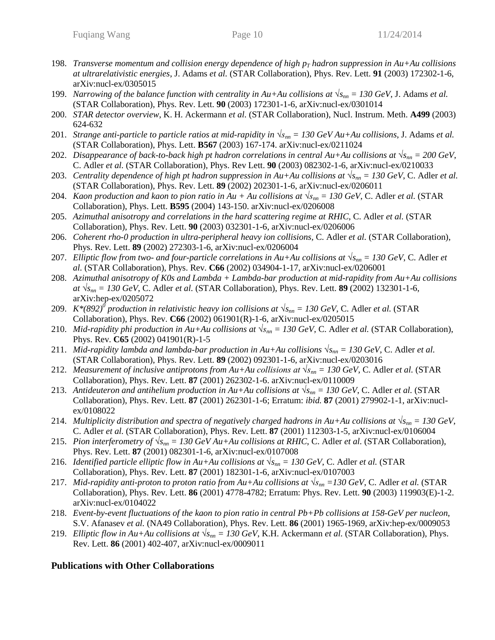- 198. *Transverse momentum and collision energy dependence of high*  $p<sub>T</sub>$  *hadron suppression in Au+Au collisions at ultrarelativistic energies*, J. Adams *et al.* (STAR Collaboration), Phys. Rev. Lett. **91** (2003) 172302-1-6, arXiv:nucl-ex/0305015
- 199. *Narrowing of the balance function with centrality in Au+Au collisions at*  $\sqrt{s_{nn}} = 130 \text{ GeV}$ , J. Adams *et al.* (STAR Collaboration), Phys. Rev. Lett. **90** (2003) 172301-1-6, arXiv:nucl-ex/0301014
- 200. *STAR detector overview*, K. H. Ackermann *et al.* (STAR Collaboration), Nucl. Instrum. Meth. **A499** (2003) 624-632
- 201. *Strange anti-particle to particle ratios at mid-rapidity in*  $\sqrt{s_{nn}} = 130 \text{ GeV} A u + Au$  collisions, J. Adams *et al.* (STAR Collaboration), Phys. Lett. **B567** (2003) 167-174. arXiv:nucl-ex/0211024
- 202. *Disappearance of back-to-back high pt hadron correlations in central Au+Au collisions at*  $\sqrt{s_{nn}} = 200$  GeV, C. Adler *et al.* (STAR Collaboration), Phys. Rev Lett. **90** (2003) 082302-1-6, arXiv:nucl-ex/0210033
- 203. *Centrality dependence of high pt hadron suppression in Au+Au collisions at √snn = 130 GeV*, C. Adler *et al.* (STAR Collaboration), Phys. Rev. Lett. **89** (2002) 202301-1-6, arXiv:nucl-ex/0206011
- 204. *Kaon production and kaon to pion ratio in Au + Au collisions at*  $\sqrt{s_{nn}} = 130 \text{ GeV}$ , C. Adler *et al.* (STAR Collaboration), Phys. Lett. **B595** (2004) 143-150. arXiv:nucl-ex/0206008
- 205. *Azimuthal anisotropy and correlations in the hard scattering regime at RHIC*, C. Adler *et al.* (STAR Collaboration), Phys. Rev. Lett. **90** (2003) 032301-1-6, arXiv:nucl-ex/0206006
- 206. *Coherent rho-0 production in ultra-peripheral heavy ion collisions,* C. Adler *et al.* (STAR Collaboration), Phys. Rev. Lett. **89** (2002) 272303-1-6, arXiv:nucl-ex/0206004
- 207. *Elliptic flow from two- and four-particle correlations in Au+Au collisions at*  $\sqrt{s_{nn}} = 130$  GeV, C. Adler *et al.* (STAR Collaboration), Phys. Rev. **C66** (2002) 034904-1-17, arXiv:nucl-ex/0206001
- 208. *Azimuthal anisotropy of K0s and Lambda + Lambda-bar production at mid-rapidity from Au+Au collisions at √snn = 130 GeV*, C. Adler *et al.* (STAR Collaboration), Phys. Rev. Lett. **89** (2002) 132301-1-6, arXiv:hep-ex/0205072
- 209. *K*\*(892)<sup> $\delta$ </sup> production in relativistic heavy ion collisions at  $\sqrt{s_{nn}}$  = 130 GeV, C. Adler et al. (STAR Collaboration), Phys. Rev. **C66** (2002) 061901(R)-1-6, arXiv:nucl-ex/0205015
- 210. *Mid-rapidity phi production in Au+Au collisions at*  $\sqrt{s_{nn}} = 130$  GeV, C. Adler *et al.* (STAR Collaboration), Phys. Rev. **C65** (2002) 041901(R)-1-5
- 211. *Mid-rapidity lambda and lambda-bar production in Au+Au collisions*  $\sqrt{s_{nn}} = 130 \text{ GeV}$ , C. Adler *et al.* (STAR Collaboration), Phys. Rev. Lett. **89** (2002) 092301-1-6, arXiv:nucl-ex/0203016
- 212. *Measurement of inclusive antiprotons from Au+Au collisions at*  $\sqrt{s_{nn}} = 130 \text{ GeV}$ , C. Adler *et al.* (STAR Collaboration), Phys. Rev. Lett. **87** (2001) 262302-1-6. arXiv:nucl-ex/0110009
- 213. Antideuteron and antihelium production in Au+Au collisions at  $\sqrt{s_{nn}} = 130 \text{ GeV}$ , C. Adler *et al.* (STAR Collaboration), Phys. Rev. Lett. **87** (2001) 262301-1-6; Erratum: *ibid.* **87** (2001) 279902-1-1, arXiv:nuclex/0108022
- 214. *Multiplicity distribution and spectra of negatively charged hadrons in Au+Au collisions at √snn = 130 GeV*, C. Adler *et al.* (STAR Collaboration), Phys. Rev. Lett. **87** (2001) 112303-1-5, arXiv:nucl-ex/0106004
- 215. Pion interferometry of  $\sqrt{s_{mn}} = 130 \text{ GeV}$  Au+Au collisions at RHIC, C. Adler *et al.* (STAR Collaboration), Phys. Rev. Lett. **87** (2001) 082301-1-6, arXiv:nucl-ex/0107008
- 216. *Identified particle elliptic flow in Au+Au collisions at*  $\sqrt{s_{nn}} = 130$  GeV, C. Adler *et al.* (STAR Collaboration), Phys. Rev. Lett. **87** (2001) 182301-1-6, arXiv:nucl-ex/0107003
- 217. *Mid-rapidity anti-proton to proton ratio from Au+Au collisions at √snn =130 GeV*, C. Adler *et al.* (STAR Collaboration), Phys. Rev. Lett. **86** (2001) 4778-4782; Erratum: Phys. Rev. Lett. **90** (2003) 119903(E)-1-2. arXiv:nucl-ex/0104022
- 218. *Event-by-event fluctuations of the kaon to pion ratio in central Pb+Pb collisions at 158-GeV per nucleon*, S.V. Afanasev *et al.* (NA49 Collaboration), Phys. Rev. Lett. **86** (2001) 1965-1969, arXiv:hep-ex/0009053
- 219. *Elliptic flow in Au+Au collisions at*  $\sqrt{s_{nn}} = 130 \text{ GeV}$ , K.H. Ackermann *et al.* (STAR Collaboration), Phys. Rev. Lett. **86** (2001) 402-407, arXiv:nucl-ex/0009011

## **Publications with Other Collaborations**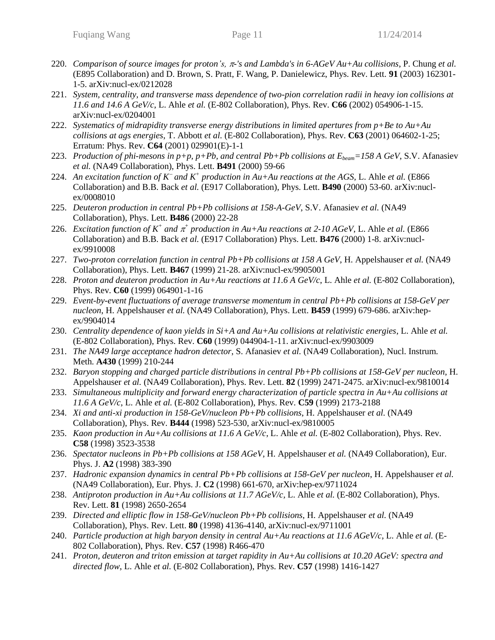- 220. *Comparison of source images for proton's, -'s and Lambda's in 6-AGeV Au+Au collisions*, P. Chung *et al.* (E895 Collaboration) and D. Brown, S. Pratt, F. Wang, P. Danielewicz, Phys. Rev. Lett. **91** (2003) 162301- 1-5. arXiv:nucl-ex/0212028
- 221. *System, centrality, and transverse mass dependence of two-pion correlation radii in heavy ion collisions at 11.6 and 14.6 A GeV/c*, L. Ahle *et al.* (E-802 Collaboration), Phys. Rev. **C66** (2002) 054906-1-15. arXiv:nucl-ex/0204001
- 222. *Systematics of midrapidity transverse energy distributions in limited apertures from p+Be to Au+Au collisions at ags energies*, T. Abbott *et al.* (E-802 Collaboration), Phys. Rev. **C63** (2001) 064602-1-25; Erratum: Phys. Rev. **C64** (2001) 029901(E)-1-1
- 223. *Production of phi-mesons in p+p, p+Pb, and central Pb+Pb collisions at*  $E_{beam} = 158$  *A GeV, S.V. Afanasiev et al.* (NA49 Collaboration), Phys. Lett. **B491** (2000) 59-66
- 224. An excitation function of  $K^-$  and  $K^+$  production in Au+Au reactions at the AGS, L. Ahle et al. (E866) Collaboration) and B.B. Back *et al.* (E917 Collaboration), Phys. Lett. **B490** (2000) 53-60. arXiv:nuclex/0008010
- 225. *Deuteron production in central Pb+Pb collisions at 158-A-GeV*, S.V. Afanasiev *et al.* (NA49 Collaboration), Phys. Lett. **B486** (2000) 22-28
- 226. *Excitation function of*  $K^+$  *and*  $\pi^+$  production in Au+Au reactions at 2-10 AGeV, L. Ahle *et al.* (E866) Collaboration) and B.B. Back *et al.* (E917 Collaboration) Phys. Lett. **B476** (2000) 1-8. arXiv:nuclex/9910008
- 227. *Two-proton correlation function in central Pb+Pb collisions at 158 A GeV*, H. Appelshauser *et al.* (NA49 Collaboration), Phys. Lett. **B467** (1999) 21-28. arXiv:nucl-ex/9905001
- 228. *Proton and deuteron production in Au+Au reactions at 11.6 A GeV/c*, L. Ahle *et al.* (E-802 Collaboration), Phys. Rev. **C60** (1999) 064901-1-16
- 229. *Event-by-event fluctuations of average transverse momentum in central Pb+Pb collisions at 158-GeV per nucleon*, H. Appelshauser *et al.* (NA49 Collaboration), Phys. Lett. **B459** (1999) 679-686. arXiv:hepex/9904014
- 230. *Centrality dependence of kaon yields in Si+A and Au+Au collisions at relativistic energies*, L. Ahle *et al.* (E-802 Collaboration), Phys. Rev. **C60** (1999) 044904-1-11. arXiv:nucl-ex/9903009
- 231. *The NA49 large acceptance hadron detector*, S. Afanasiev *et al.* (NA49 Collaboration), Nucl. Instrum. Meth. **A430** (1999) 210-244
- 232. *Baryon stopping and charged particle distributions in central Pb+Pb collisions at 158-GeV per nucleon*, H. Appelshauser *et al.* (NA49 Collaboration), Phys. Rev. Lett. **82** (1999) 2471-2475. arXiv:nucl-ex/9810014
- 233. *Simultaneous multiplicity and forward energy characterization of particle spectra in Au+Au collisions at 11.6 A GeV/c*, L. Ahle *et al.* (E-802 Collaboration), Phys. Rev. **C59** (1999) 2173-2188
- 234. *Xi and anti-xi production in 158-GeV/nucleon Pb+Pb collisions*, H. Appelshauser *et al.* (NA49 Collaboration), Phys. Rev. **B444** (1998) 523-530, arXiv:nucl-ex/9810005
- 235. *Kaon production in Au+Au collisions at 11.6 A GeV/c*, L. Ahle *et al.* (E-802 Collaboration), Phys. Rev. **C58** (1998) 3523-3538
- 236. *Spectator nucleons in Pb+Pb collisions at 158 AGeV*, H. Appelshauser *et al.* (NA49 Collaboration), Eur. Phys. J. **A2** (1998) 383-390
- 237. *Hadronic expansion dynamics in central Pb+Pb collisions at 158-GeV per nucleon*, H. Appelshauser *et al.* (NA49 Collaboration), Eur. Phys. J. **C2** (1998) 661-670, arXiv:hep-ex/9711024
- 238. *Antiproton production in Au+Au collisions at 11.7 AGeV/c,* L. Ahle *et al.* (E-802 Collaboration), Phys. Rev. Lett. **81** (1998) 2650-2654
- 239. *Directed and elliptic flow in 158-GeV/nucleon Pb+Pb collisions*, H. Appelshauser *et al.* (NA49 Collaboration), Phys. Rev. Lett. **80** (1998) 4136-4140, arXiv:nucl-ex/9711001
- 240. *Particle production at high baryon density in central Au+Au reactions at 11.6 AGeV/c*, L. Ahle *et al.* (E-802 Collaboration), Phys. Rev. **C57** (1998) R466-470
- 241. *Proton, deuteron and triton emission at target rapidity in Au+Au collisions at 10.20 AGeV: spectra and directed flow*, L. Ahle *et al.* (E-802 Collaboration), Phys. Rev. **C57** (1998) 1416-1427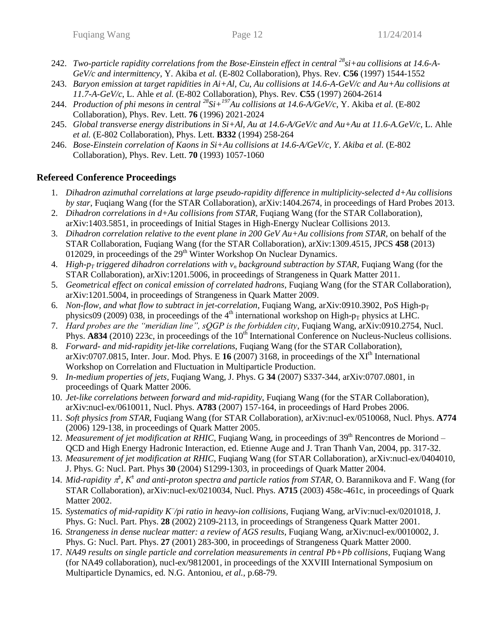- 242. *Two-particle rapidity correlations from the Bose-Einstein effect in central <sup>28</sup>si+au collisions at 14.6-A-GeV/c and intermittency*, Y. Akiba *et al.* (E-802 Collaboration), Phys. Rev. **C56** (1997) 1544-1552
- 243. *Baryon emission at target rapidities in Ai+Al, Cu, Au collisions at 14.6-A-GeV/c and Au+Au collisions at 11.7-A-GeV/c*, L. Ahle *et al.* (E-802 Collaboration), Phys. Rev. **C55** (1997) 2604-2614
- 244. *Production of phi mesons in central <sup>28</sup>Si+<sup>197</sup>Au collisions at 14.6-A/GeV/c*, Y. Akiba *et al.* (E-802 Collaboration), Phys. Rev. Lett. **76** (1996) 2021-2024
- 245. *Global transverse energy distributions in Si+Al, Au at 14.6-A/GeV/c and Au+Au at 11.6-A.GeV/c*, L. Ahle *et al.* (E-802 Collaboration), Phys. Lett. **B332** (1994) 258-264
- 246. *Bose-Einstein correlation of Kaons in Si+Au collisions at 14.6-A/GeV/c, Y. Akiba et al.* (E-802 Collaboration), Phys. Rev. Lett. **70** (1993) 1057-1060

## **Refereed Conference Proceedings**

- 1. *Dihadron azimuthal correlations at large pseudo-rapidity difference in multiplicity-selected d+Au collisions by star*, Fuqiang Wang (for the STAR Collaboration), arXiv:1404.2674, in proceedings of Hard Probes 2013.
- 2. *Dihadron correlations in d+Au collisions from STAR*, Fuqiang Wang (for the STAR Collaboration), arXiv:1403.5851, in proceedings of Initial Stages in High-Energy Nuclear Collisions 2013.
- 3. *Dihadron correlation relative to the event plane in 200 GeV Au+Au collisions from STAR*, on behalf of the STAR Collaboration, Fuqiang Wang (for the STAR Collaboration), arXiv:1309.4515, JPCS **458** (2013) 012029, in proceedings of the  $29<sup>th</sup>$  Winter Workshop On Nuclear Dynamics.
- 4. *High-p<sup>T</sup> triggered dihadron correlations with v<sup>n</sup> background subtraction by STAR*, Fuqiang Wang (for the STAR Collaboration), arXiv:1201.5006, in proceedings of Strangeness in Quark Matter 2011.
- 5. *Geometrical effect on conical emission of correlated hadrons*, Fuqiang Wang (for the STAR Collaboration), arXiv:1201.5004, in proceedings of Strangeness in Quark Matter 2009.
- 6. *Non-flow, and what flow to subtract in jet-correlation*, Fugiang Wang, arXiv:0910.3902, PoS High-p<sub>T</sub> physics09 (2009) 038, in proceedings of the  $4<sup>th</sup>$  international workshop on High- $p_T$  physics at LHC.
- 7. *Hard probes are the "meridian line", sQGP is the forbidden city*, Fuqiang Wang, arXiv:0910.2754, Nucl. Phys. **A834** (2010) 223c, in proceedings of the 10<sup>th</sup> International Conference on Nucleus-Nucleus collisions.
- 8. *Forward- and mid-rapidity jet-like correlations*, Fuqiang Wang (for the STAR Collaboration), arXiv:0707.0815, Inter. Jour. Mod. Phys. E  $16(2007)$  3168, in proceedings of the XI<sup>th</sup> International Workshop on Correlation and Fluctuation in Multiparticle Production.
- 9. *In-medium properties of jets*, Fuqiang Wang, J. Phys. G **34** (2007) S337-344, arXiv:0707.0801, in proceedings of Quark Matter 2006.
- 10. *Jet-like correlations between forward and mid-rapidity*, Fuqiang Wang (for the STAR Collaboration), arXiv:nucl-ex/0610011, Nucl. Phys. **A783** (2007) 157-164, in proceedings of Hard Probes 2006.
- 11. *Soft physics from STAR*, Fuqiang Wang (for STAR Collaboration), arXiv:nucl-ex/0510068, Nucl. Phys. **A774** (2006) 129-138, in proceedings of Quark Matter 2005.
- 12. *Measurement of jet modification at RHIC*, Fuqiang Wang, in proceedings of 39<sup>th</sup> Rencontres de Moriond QCD and High Energy Hadronic Interaction, ed. Etienne Auge and J. Tran Thanh Van, 2004, pp. 317-32.
- 13. *Measurement of jet modification at RHIC*, Fuqiang Wang (for STAR Collaboration), arXiv:nucl-ex/0404010, J. Phys. G: Nucl. Part. Phys **30** (2004) S1299-1303*,* in proceedings of Quark Matter 2004.
- 14. *Mid-rapidity*  $\pi^{\pm}$ ,  $K^{\pm}$  and anti-proton spectra and particle ratios from STAR, O. Barannikova and F. Wang (for STAR Collaboration), arXiv:nucl-ex/0210034, Nucl. Phys. **A715** (2003) 458c-461c, in proceedings of Quark Matter 2002.
- 15. Systematics of mid-rapidity K/pi ratio in heavy-ion collisions, Fuqiang Wang, arViv:nucl-ex/0201018, J. Phys. G: Nucl. Part. Phys. **28** (2002) 2109-2113, in proceedings of Strangeness Quark Matter 2001.
- 16. *Strangeness in dense nuclear matter: a review of AGS results*, Fuqiang Wang, arXiv:nucl-ex/0010002, J. Phys. G: Nucl. Part. Phys. **27** (2001) 283-300, in proceedings of Strangeness Quark Matter 2000.
- 17. *NA49 results on single particle and correlation measurements in central Pb+Pb collisions*, Fuqiang Wang (for NA49 collaboration), nucl-ex/9812001, in proceedings of the XXVIII International Symposium on Multiparticle Dynamics, ed. N.G. Antoniou, *et al.,* p.68-79.